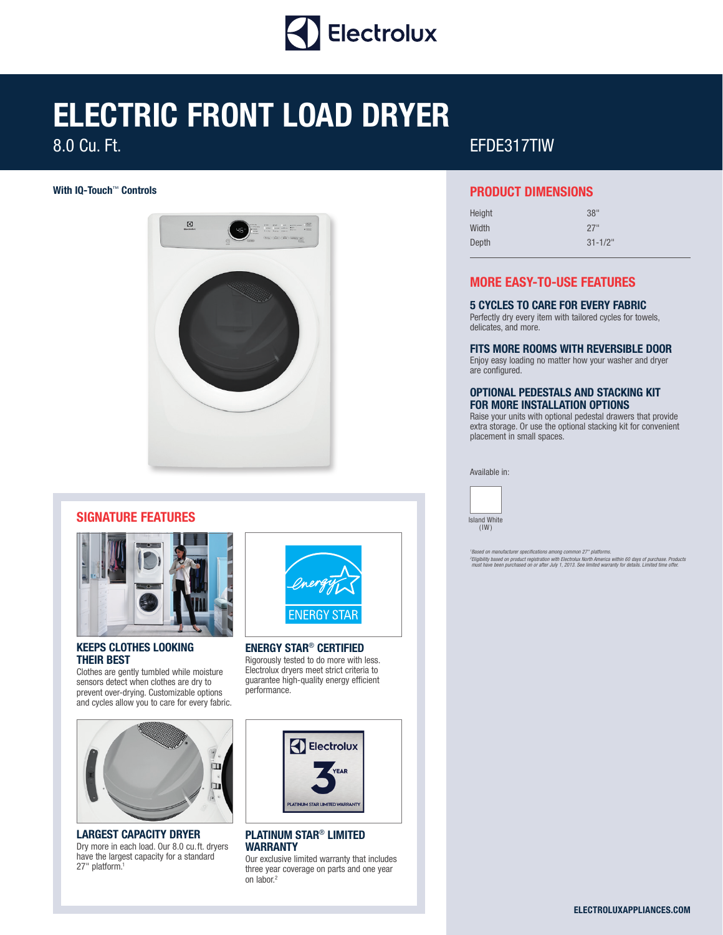

# **ELECTRIC FRONT LOAD DRYER**

8.0 Cu. Ft.



### **SIGNATURE FEATURES**



### **KEEPS CLOTHES LOOKING THEIR BEST**

Clothes are gently tumbled while moisture sensors detect when clothes are dry to prevent over-drying. Customizable options and cycles allow you to care for every fabric.



**LARGEST CAPACITY DRYER** Dry more in each load. Our 8.0 cu.ft. dryers have the largest capacity for a standard 27" platform.1



**ENERGY STAR**® **CERTIFIED** Rigorously tested to do more with less. Electrolux dryers meet strict criteria to guarantee high-quality energy efficient performance.



### **PLATINUM STAR**® **LIMITED WARRANTY**

Our exclusive limited warranty that includes three year coverage on parts and one year on labor.<sup>2</sup>

## EFDE317TIW

### **With IQ-Touch**™ **Controls PRODUCT DIMENSIONS**

| Height | 38"          |
|--------|--------------|
| Width  | 27"          |
| Depth  | $31 - 1/2$ " |

### **MORE EASY-TO-USE FEATURES**

### **5 CYCLES TO CARE FOR EVERY FABRIC**

Perfectly dry every item with tailored cycles for towels, delicates, and more.

### **FITS MORE ROOMS WITH REVERSIBLE DOOR**

Enjoy easy loading no matter how your washer and dryer are configured.

### **OPTIONAL PEDESTALS AND STACKING KIT FOR MORE INSTALLATION OPTIONS**

Raise your units with optional pedestal drawers that provide extra storage. Or use the optional stacking kit for convenient placement in small spaces.

Available in:



*1 Based on manufacturer specifications among common 27" platforms.* <sup>2</sup>Eligibility based on product registration with Electrolux North America within 60 days of purchase. Products<br>must have been purchased on or after July 1, 2013. See limited warranty for details. Limited time offer.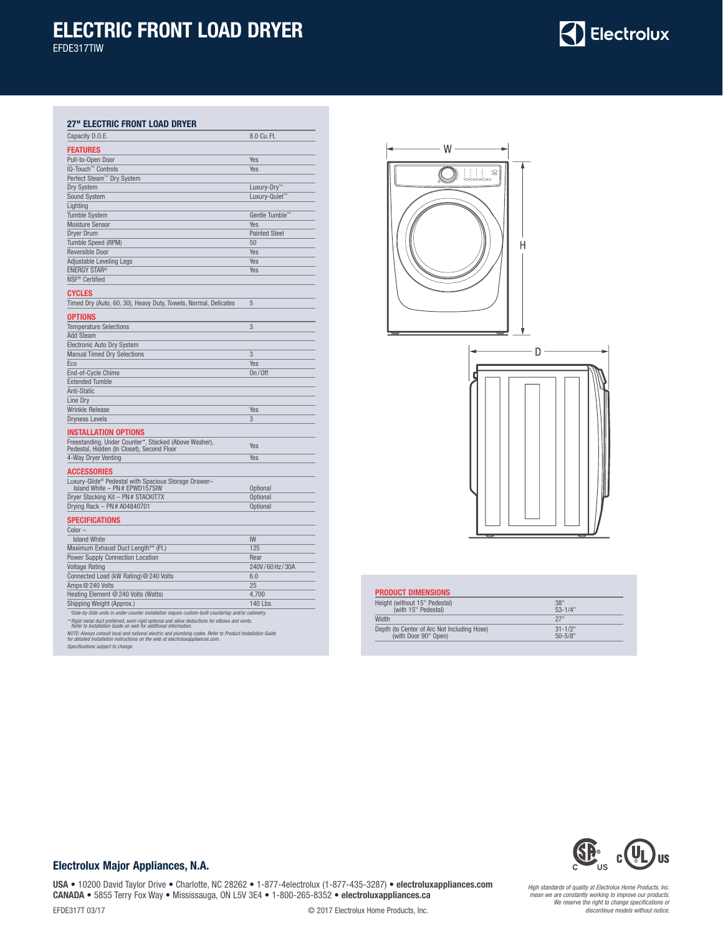# **ELECTRIC FRONT LOAD DRYER**

EFDE317TIW

# Electrolux

### **27" ELECTRIC FRONT LOAD DRYER**

| Capacity D.O.E.                                                                                                                                                                            | 8.0 Cu. Ft.          |
|--------------------------------------------------------------------------------------------------------------------------------------------------------------------------------------------|----------------------|
| <b>FEATURES</b>                                                                                                                                                                            |                      |
| Pull-to-Open Door                                                                                                                                                                          | Yes                  |
| IQ-Touch™ Controls                                                                                                                                                                         | Yes                  |
| Perfect Steam™ Dry System                                                                                                                                                                  |                      |
| Dry System                                                                                                                                                                                 | Luxury-Dry™          |
| <b>Sound System</b>                                                                                                                                                                        | Luxury-Quiet™        |
| Lighting                                                                                                                                                                                   |                      |
| <b>Tumble System</b>                                                                                                                                                                       | Gentle Tumble™       |
| <b>Moisture Sensor</b>                                                                                                                                                                     | Yes                  |
| <b>Dryer Drum</b>                                                                                                                                                                          | <b>Painted Steel</b> |
| Tumble Speed (RPM)                                                                                                                                                                         | 50                   |
| Reversible Door                                                                                                                                                                            | Yes                  |
| Adjustable Leveling Legs                                                                                                                                                                   | Yes                  |
| <b>ENERGY STAR®</b>                                                                                                                                                                        | Yes                  |
| NSF <sup>®</sup> Certified                                                                                                                                                                 |                      |
|                                                                                                                                                                                            |                      |
| <b>CYCLES</b>                                                                                                                                                                              |                      |
| Timed Dry (Auto, 60, 30), Heavy Duty, Towels, Normal, Delicates                                                                                                                            | 5                    |
| <b>OPTIONS</b>                                                                                                                                                                             |                      |
| <b>Temperature Selections</b>                                                                                                                                                              | 3                    |
| <b>Add Steam</b>                                                                                                                                                                           |                      |
| Electronic Auto Dry System                                                                                                                                                                 |                      |
| <b>Manual Timed Dry Selections</b>                                                                                                                                                         | 3                    |
| Eco                                                                                                                                                                                        | Yes                  |
| End-of-Cycle Chime                                                                                                                                                                         | On/Off               |
| <b>Extended Tumble</b>                                                                                                                                                                     |                      |
| Anti-Static                                                                                                                                                                                |                      |
| Line Drv                                                                                                                                                                                   |                      |
| <b>Wrinkle Release</b>                                                                                                                                                                     | Yes                  |
| <b>Dryness Levels</b>                                                                                                                                                                      | 3                    |
|                                                                                                                                                                                            |                      |
| INSTALLATION OPTIONS                                                                                                                                                                       |                      |
| Freestanding, Under Counter*, Stacked (Above Washer),<br>Pedestal, Hidden (In Closet), Second Floor                                                                                        | <b>Yes</b>           |
| 4-Way Dryer Venting                                                                                                                                                                        | Yes                  |
|                                                                                                                                                                                            |                      |
| ACCESSORIES                                                                                                                                                                                |                      |
| Luxury-Glide <sup>®</sup> Pedestal with Spacious Storage Drawer-                                                                                                                           |                      |
| Island White - PN# EPWD157SIW                                                                                                                                                              | Optional             |
| Dryer Stacking Kit - PN # STACKIT7X                                                                                                                                                        | Optional             |
| Drying Rack - PN # A04840701                                                                                                                                                               | Optional             |
| Specifications                                                                                                                                                                             |                      |
| $Color -$                                                                                                                                                                                  |                      |
| <b>Island White</b>                                                                                                                                                                        | <b>IW</b>            |
| Maximum Exhaust Duct Length** (Ft.)                                                                                                                                                        | 125                  |
| <b>Power Supply Connection Location</b>                                                                                                                                                    | Rear                 |
| <b>Voltage Rating</b>                                                                                                                                                                      | 240V/60Hz/30A        |
| Connected Load (kW Rating) @ 240 Volts                                                                                                                                                     | 6.0                  |
| Amps @ 240 Volts                                                                                                                                                                           | 25                   |
| Heating Element @ 240 Volts (Watts)                                                                                                                                                        | 4.700                |
| Shipping Weight (Approx.)                                                                                                                                                                  | 140 Lbs.             |
| *Side-by-Side units in under-counter installation require custom-built countertop and/or cabinetry.                                                                                        |                      |
| Rigid metal duct preferred, semi-rigid optional and allow deductions for elbows and vents.<br>Refer to Installation Guide on web for additional information.                               |                      |
| NOTE: Always consult local and national electric and plumbing codes. Refer to Product Installation Guide<br>for detailed installation instructions on the web at electroluxappliances.com. |                      |
| Specifications subject to change.                                                                                                                                                          |                      |
|                                                                                                                                                                                            |                      |



| Height (without 15" Pedestal)               | 38"          |
|---------------------------------------------|--------------|
| (with 15" Pedestal)                         | $53 - 1/4$ " |
| Width                                       | 27"          |
| Depth (to Center of Arc Not Including Hose) | $31 - 1/2$ " |
| (with Door 90° Open)                        | $50 - 5/8"$  |



### **Electrolux Major Appliances, N.A.**

**USA** • 10200 David Taylor Drive • Charlotte, NC 28262 • 1-877-4electrolux (1-877-435-3287) • **electroluxappliances.com CANADA** • 5855 Terry Fox Way • Mississauga, ON L5V 3E4 • 1-800-265-8352 • **electroluxappliances.ca** EFDE317T 03/17 © 2017 Electrolux Home Products, Inc.

*High standards of quality at Electrolux Home Products, Inc. mean we are constantly working to improve our products. We reserve the right to change specifications or discontinue models without notice.*